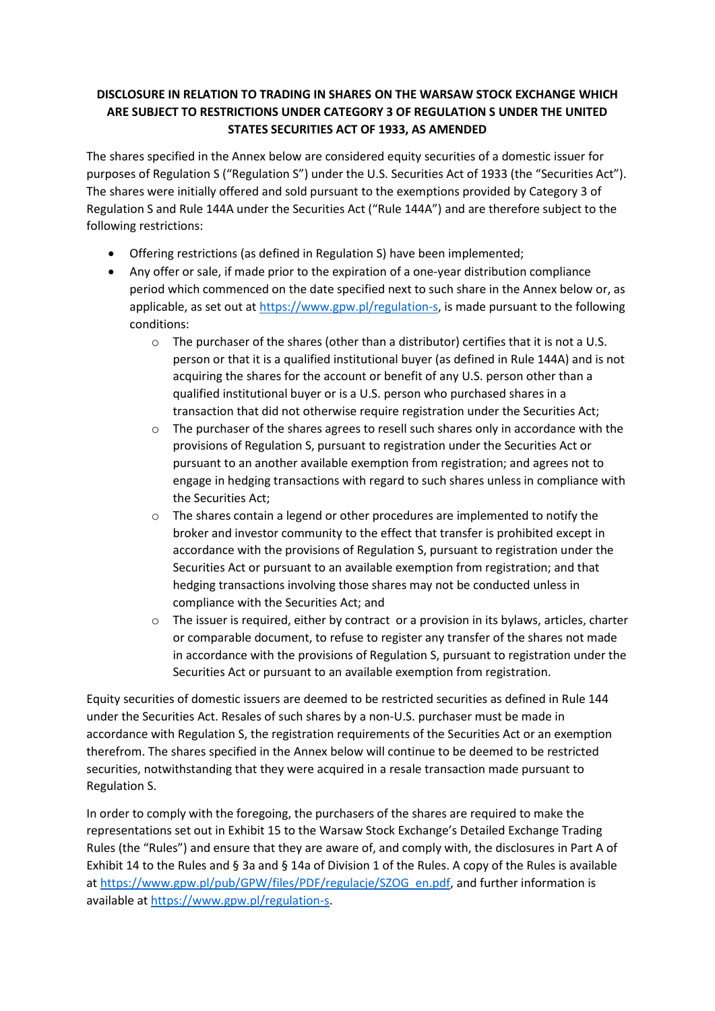## **DISCLOSURE IN RELATION TO TRADING IN SHARES ON THE WARSAW STOCK EXCHANGE WHICH ARE SUBJECT TO RESTRICTIONS UNDER CATEGORY 3 OF REGULATION S UNDER THE UNITED STATES SECURITIES ACT OF 1933, AS AMENDED**

The shares specified in the Annex below are considered equity securities of a domestic issuer for purposes of Regulation S ("Regulation S") under the U.S. Securities Act of 1933 (the "Securities Act"). The shares were initially offered and sold pursuant to the exemptions provided by Category 3 of Regulation S and Rule 144A under the Securities Act ("Rule 144A") and are therefore subject to the following restrictions:

- Offering restrictions (as defined in Regulation S) have been implemented;
- Any offer or sale, if made prior to the expiration of a one-year distribution compliance period which commenced on the date specified next to such share in the Annex below or, as applicable, as set out at [https://www.gpw.pl/regulation-s,](https://www.gpw.pl/regulation-s) is made pursuant to the following conditions:
	- o The purchaser of the shares (other than a distributor) certifies that it is not a U.S. person or that it is a qualified institutional buyer (as defined in Rule 144A) and is not acquiring the shares for the account or benefit of any U.S. person other than a qualified institutional buyer or is a U.S. person who purchased shares in a transaction that did not otherwise require registration under the Securities Act;
	- $\circ$  The purchaser of the shares agrees to resell such shares only in accordance with the provisions of Regulation S, pursuant to registration under the Securities Act or pursuant to an another available exemption from registration; and agrees not to engage in hedging transactions with regard to such shares unless in compliance with the Securities Act;
	- $\circ$  The shares contain a legend or other procedures are implemented to notify the broker and investor community to the effect that transfer is prohibited except in accordance with the provisions of Regulation S, pursuant to registration under the Securities Act or pursuant to an available exemption from registration; and that hedging transactions involving those shares may not be conducted unless in compliance with the Securities Act; and
	- $\circ$  The issuer is required, either by contract or a provision in its bylaws, articles, charter or comparable document, to refuse to register any transfer of the shares not made in accordance with the provisions of Regulation S, pursuant to registration under the Securities Act or pursuant to an available exemption from registration.

Equity securities of domestic issuers are deemed to be restricted securities as defined in Rule 144 under the Securities Act. Resales of such shares by a non-U.S. purchaser must be made in accordance with Regulation S, the registration requirements of the Securities Act or an exemption therefrom. The shares specified in the Annex below will continue to be deemed to be restricted securities, notwithstanding that they were acquired in a resale transaction made pursuant to Regulation S.

In order to comply with the foregoing, the purchasers of the shares are required to make the representations set out in Exhibit 15 to the Warsaw Stock Exchange's Detailed Exchange Trading Rules (the "Rules") and ensure that they are aware of, and comply with, the disclosures in Part A of Exhibit 14 to the Rules and § 3a and § 14a of Division 1 of the Rules. A copy of the Rules is available a[t https://www.gpw.pl/pub/GPW/files/PDF/regulacje/SZOG\\_en.pdf,](https://www.gpw.pl/pub/GPW/files/PDF/regulacje/SZOG_en.pdf) and further information is available a[t https://www.gpw.pl/regulation-s.](https://www.gpw.pl/regulation-s)